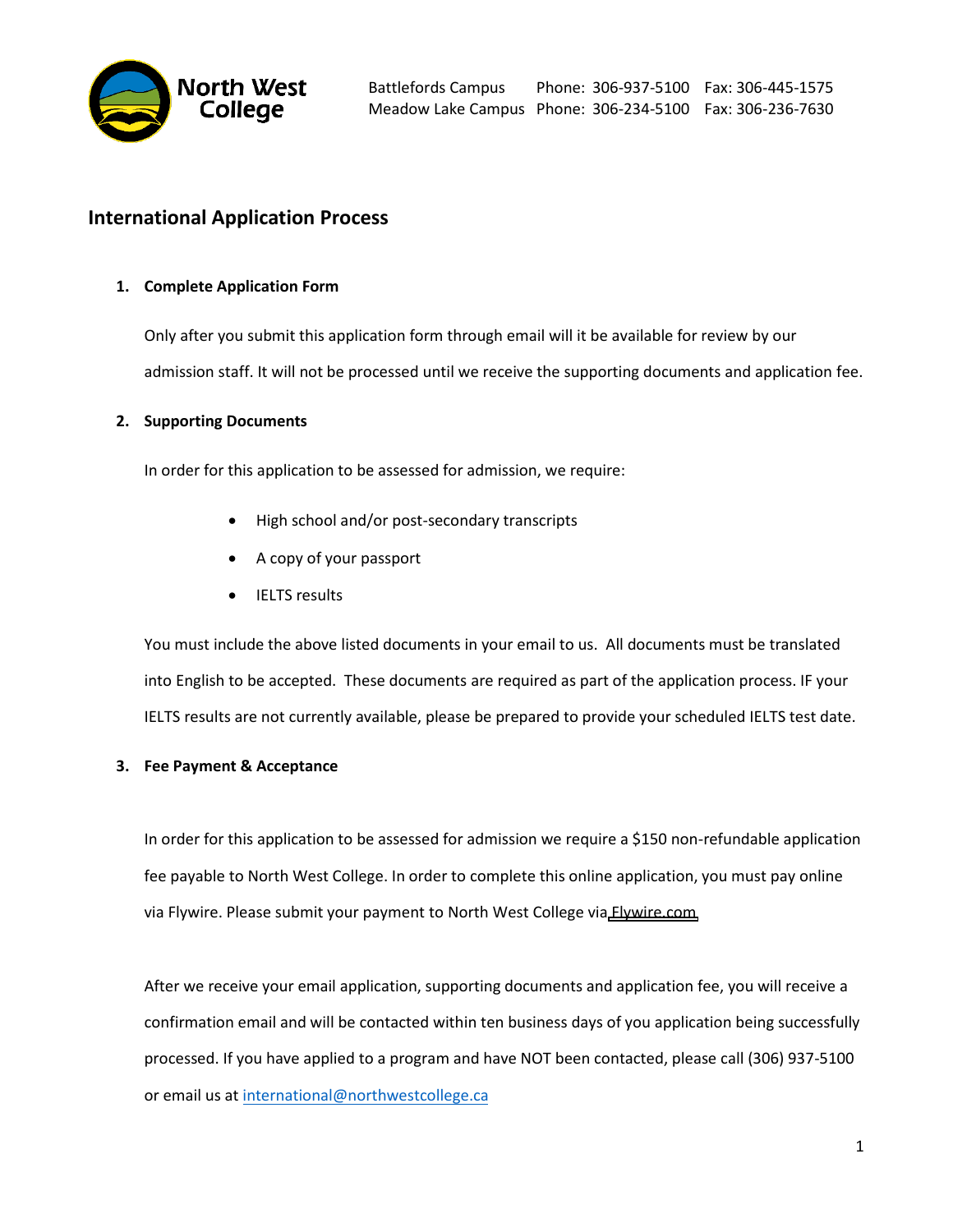

## **International Application Process**

## **1. Complete Application Form**

Only after you submit this application form through email will it be available for review by our admission staff. It will not be processed until we receive the supporting documents and application fee.

## **2. Supporting Documents**

In order for this application to be assessed for admission, we require:

- High school and/or post-secondary transcripts
- A copy of your passport
- IELTS results

You must include the above listed documents in your email to us. All documents must be translated into English to be accepted. These documents are required as part of the application process. IF your IELTS results are not currently available, please be prepared to provide your scheduled IELTS test date.

## **3. Fee Payment & Acceptance**

In order for this application to be assessed for admission we require a \$150 non-refundable application fee payable to North West College. In order to complete this online application, you must pay online via Flywire. Please submit your payment to North West College via [Flywire.com](https://payment.flywire.com/pay/payment)

After we receive your email application, supporting documents and application fee, you will receive a confirmation email and will be contacted within ten business days of you application being successfully processed. If you have applied to a program and have NOT been contacted, please call (306) 937-5100 or email us at [international@northwestcollege.ca](mailto:international@northwestcollege.ca)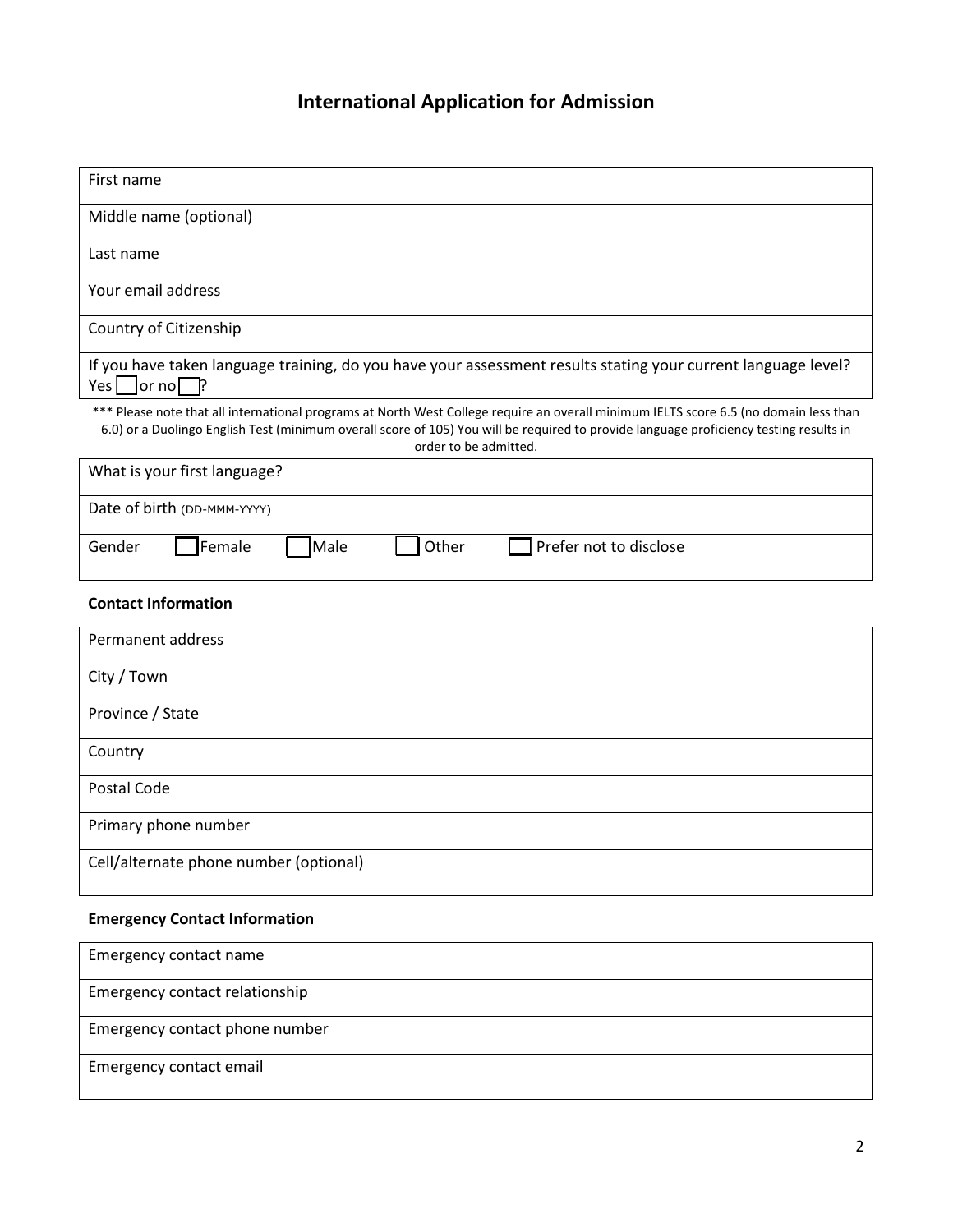# **International Application for Admission**

| First name                                                                                                                                                                                                                                                                                               |  |  |  |  |
|----------------------------------------------------------------------------------------------------------------------------------------------------------------------------------------------------------------------------------------------------------------------------------------------------------|--|--|--|--|
| Middle name (optional)                                                                                                                                                                                                                                                                                   |  |  |  |  |
| Last name                                                                                                                                                                                                                                                                                                |  |  |  |  |
| Your email address                                                                                                                                                                                                                                                                                       |  |  |  |  |
| Country of Citizenship                                                                                                                                                                                                                                                                                   |  |  |  |  |
| If you have taken language training, do you have your assessment results stating your current language level?<br>P<br>Yes<br> or no                                                                                                                                                                      |  |  |  |  |
| *** Please note that all international programs at North West College require an overall minimum IELTS score 6.5 (no domain less than<br>6.0) or a Duolingo English Test (minimum overall score of 105) You will be required to provide language proficiency testing results in<br>order to be admitted. |  |  |  |  |
| What is your first language?                                                                                                                                                                                                                                                                             |  |  |  |  |
| Date of birth (DD-MMM-YYYY)                                                                                                                                                                                                                                                                              |  |  |  |  |
| Other<br>Female<br>Male<br>Prefer not to disclose<br>Gender                                                                                                                                                                                                                                              |  |  |  |  |
| <b>Contact Information</b>                                                                                                                                                                                                                                                                               |  |  |  |  |
| Permanent address                                                                                                                                                                                                                                                                                        |  |  |  |  |
| City / Town                                                                                                                                                                                                                                                                                              |  |  |  |  |
| Province / State                                                                                                                                                                                                                                                                                         |  |  |  |  |
| Country                                                                                                                                                                                                                                                                                                  |  |  |  |  |
| Postal Code                                                                                                                                                                                                                                                                                              |  |  |  |  |
| Primary phone number                                                                                                                                                                                                                                                                                     |  |  |  |  |
| Cell/alternate phone number (optional)                                                                                                                                                                                                                                                                   |  |  |  |  |
| <b>Emergency Contact Information</b>                                                                                                                                                                                                                                                                     |  |  |  |  |
| Emergency contact name                                                                                                                                                                                                                                                                                   |  |  |  |  |
| Emergency contact relationship                                                                                                                                                                                                                                                                           |  |  |  |  |
| Emergency contact phone number                                                                                                                                                                                                                                                                           |  |  |  |  |
| Emergency contact email                                                                                                                                                                                                                                                                                  |  |  |  |  |
|                                                                                                                                                                                                                                                                                                          |  |  |  |  |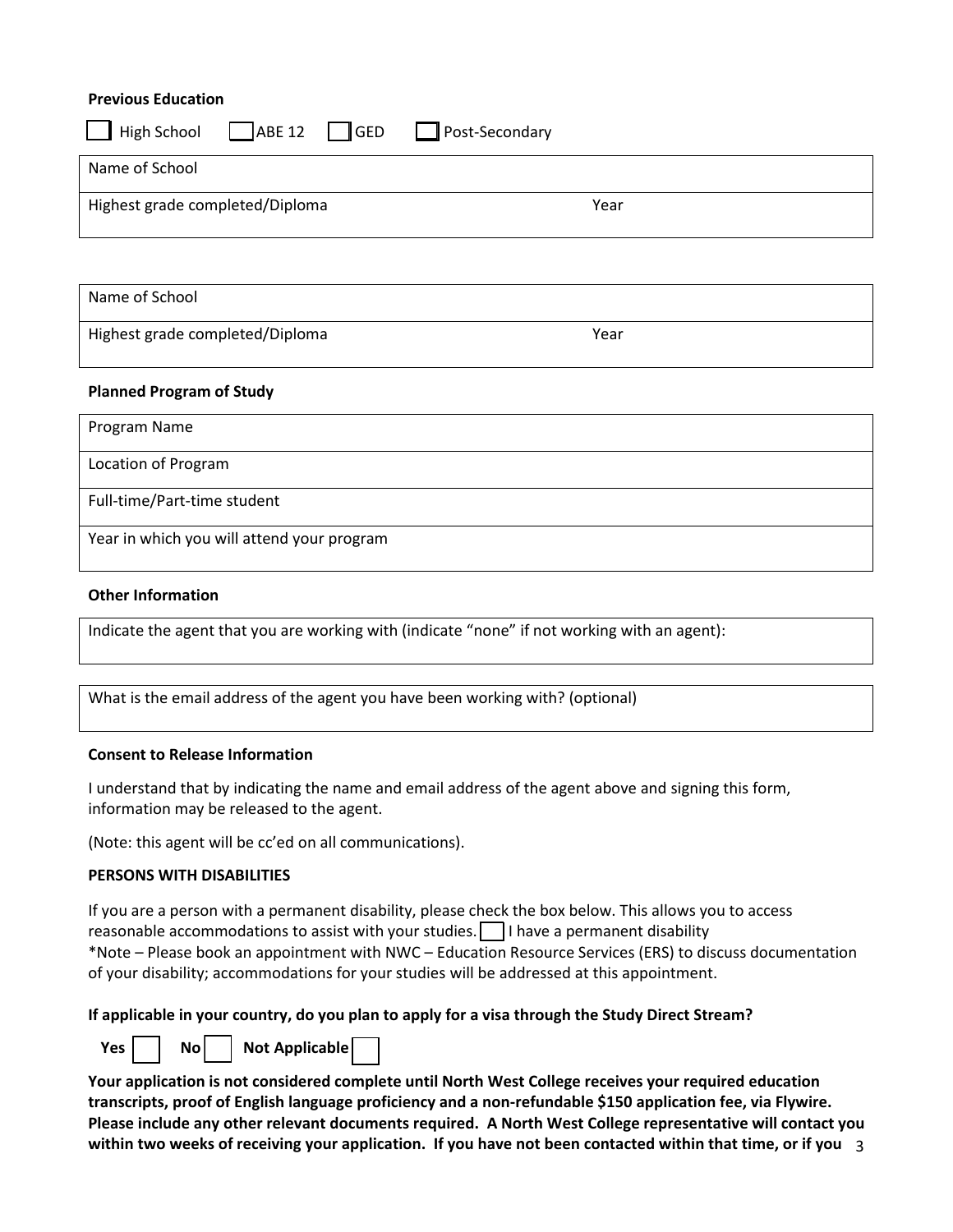#### **Previous Education**

| □ High School ABE 12 GED Post-Secondary |      |
|-----------------------------------------|------|
| Name of School                          |      |
| Highest grade completed/Diploma         | Year |

Name of School

Highest grade completed/Diploma Theorem 2012 Sear

#### **Planned Program of Study**

| Program Name                               |
|--------------------------------------------|
| Location of Program                        |
| Full-time/Part-time student                |
| Year in which you will attend your program |

#### **Other Information**

Indicate the agent that you are working with (indicate "none" if not working with an agent):

What is the email address of the agent you have been working with? (optional)

#### **Consent to Release Information**

I understand that by indicating the name and email address of the agent above and signing this form, information may be released to the agent.

(Note: this agent will be cc'ed on all communications).

#### **PERSONS WITH DISABILITIES**

If you are a person with a permanent disability, please check the box below. This allows you to access reasonable accommodations to assist with your studies.  $\Box$  I have a permanent disability \*Note – Please book an appointment with NWC – Education Resource Services (ERS) to discuss documentation of your disability; accommodations for your studies will be addressed at this appointment.

#### **If applicable in your country, do you plan to apply for a visa through the Study Direct Stream?**



Yes | | No | | Not Applicable

3 **within two weeks of receiving your application. If you have not been contacted within that time, or if you Your application is not considered complete until North West College receives your required education transcripts, proof of English language proficiency and a non-refundable \$150 application fee, via Flywire. Please include any other relevant documents required. A North West College representative will contact you**